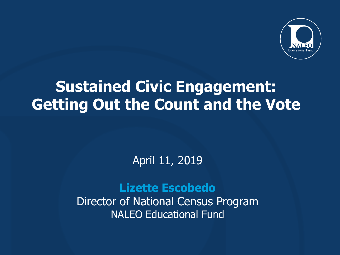

## **Sustained Civic Engagement: Getting Out the Count and the Vote**

### April 11, 2019

### **Lizette Escobedo**

Director of National Census Program NALEO Educational Fund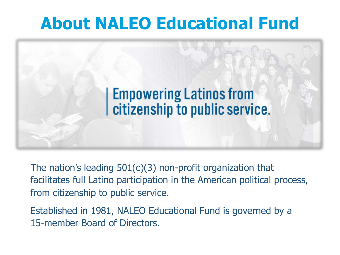# **About NALEO Educational Fund**



The nation's leading  $501(c)(3)$  non-profit organization that facilitates full Latino participation in the American political process, from citizenship to public service.

Established in 1981, NALEO Educational Fund is governed by a 15-member Board of Directors.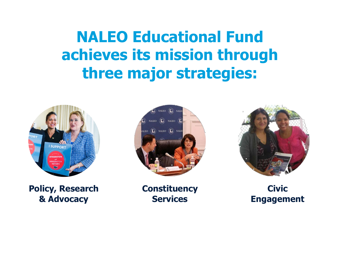**NALEO Educational Fund achieves its mission through three major strategies:**



**Policy, Research & Advocacy**



**Constituency Services**



**Civic Engagement**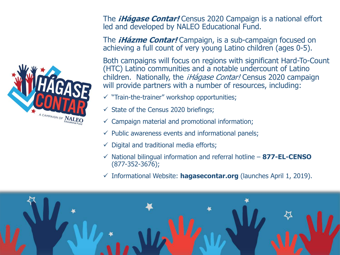

The *iHágase Contar!* Census 2020 Campaign is a national effort led and developed by NALEO Educational Fund.

The *iHázme Contar!* Campaign, is a sub-campaign focused on achieving a full count of very young Latino children (ages 0-5).

Both campaigns will focus on regions with significant Hard-To-Count (HTC) Latino communities and a notable undercount of Latino children. Nationally, the *iHágase Contar!* Census 2020 campaign will provide partners with a number of resources, including:

- $\checkmark$  "Train-the-trainer" workshop opportunities;
- $\checkmark$  State of the Census 2020 briefings;
- $\checkmark$  Campaign material and promotional information;
- $\checkmark$  Public awareness events and informational panels;
- $\checkmark$  Digital and traditional media efforts;
- $\checkmark$  National bilingual information and referral hotline 877-EL-CENSO (877-352-3676);
- $\checkmark$  Informational Website: **hagasecontar.org** (launches April 1, 2019).

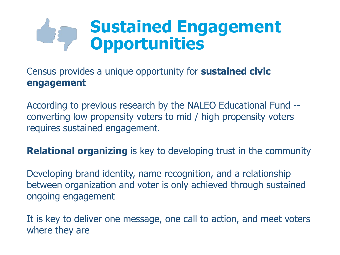# **Sustained Engagement Opportunities**

Census provides a unique opportunity for **sustained civic engagement**

According to previous research by the NALEO Educational Fund - converting low propensity voters to mid / high propensity voters requires sustained engagement.

**Relational organizing** is key to developing trust in the community

Developing brand identity, name recognition, and a relationship between organization and voter is only achieved through sustained ongoing engagement

It is key to deliver one message, one call to action, and meet voters where they are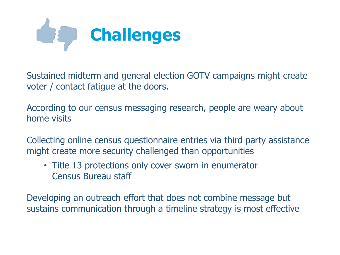

Sustained midterm and general election GOTV campaigns might create voter / contact fatigue at the doors.

According to our census messaging research, people are weary about home visits

Collecting online census questionnaire entries via third party assistance might create more security challenged than opportunities

• Title 13 protections only cover sworn in enumerator Census Bureau staff

Developing an outreach effort that does not combine message but sustains communication through a timeline strategy is most effective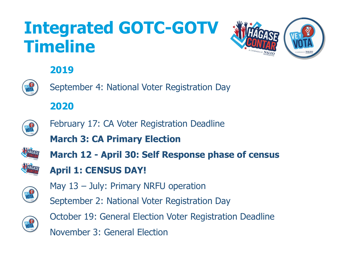# **Integrated GOTC-GOTV Timeline**



### **2019**



September 4: National Voter Registration Day

### **2020**



- February 17: CA Voter Registration Deadline
- **March 3: CA Primary Election**



**March 12 - April 30: Self Response phase of census April 1: CENSUS DAY!**



- May 13 July: Primary NRFU operation
- September 2: National Voter Registration Day



October 19: General Election Voter Registration Deadline November 3: General Election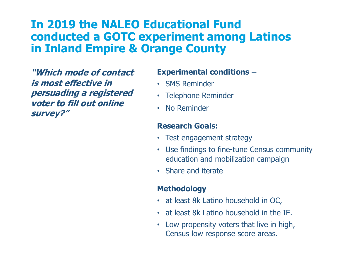### **In 2019 the NALEO Educational Fund conducted a GOTC experiment among Latinos in Inland Empire & Orange County**

**"Which mode of contact is most effective in persuading a registered voter to fill out online survey?"**

#### **Experimental conditions –**

- SMS Reminder
- Telephone Reminder
- No Reminder

#### **Research Goals:**

- Test engagement strategy
- Use findings to fine-tune Census community education and mobilization campaign
- Share and iterate

#### **Methodology**

- at least 8k Latino household in OC,
- at least 8k Latino household in the IE.
- Low propensity voters that live in high, Census low response score areas.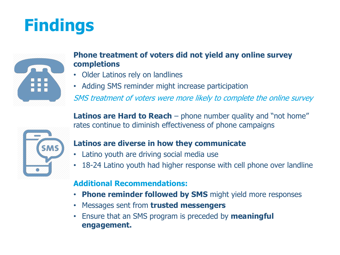# **Findings**



#### **Phone treatment of voters did not yield any online survey completions**

- Older Latinos rely on landlines
- Adding SMS reminder might increase participation

SMS treatment of voters were more likely to complete the online survey

**Latinos are Hard to Reach** – phone number quality and "not home" rates continue to diminish effectiveness of phone campaigns



#### **Latinos are diverse in how they communicate**

- Latino youth are driving social media use
- 18-24 Latino youth had higher response with cell phone over landline

#### **Additional Recommendations:**

- **Phone reminder followed by SMS** might yield more responses
- Messages sent from **trusted messengers**
- Ensure that an SMS program is preceded by **meaningful engagement.**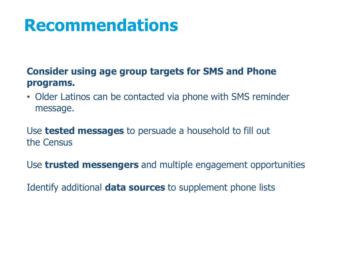# **Recommendations**

### **Consider using age group targets for SMS and Phone programs.**

• Older Latinos can be contacted via phone with SMS reminder message.

Use **tested messages** to persuade a household to fill out the Census

Use **trusted messengers** and multiple engagement opportunities

Identify additional **data sources** to supplement phone lists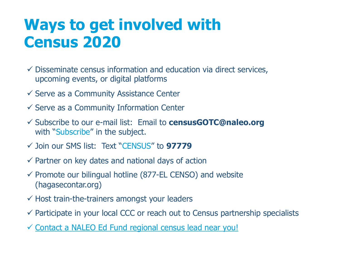# **Ways to get involved with Census 2020**

- $\checkmark$  Disseminate census information and education via direct services, upcoming events, or digital platforms
- $\checkmark$  Serve as a Community Assistance Center
- $\checkmark$  Serve as a Community Information Center
- ü Subscribe to our e-mail list: Email to **censusGOTC@naleo.org** with "Subscribe" in the subject.
- ü Join our SMS list: Text "CENSUS" to **97779**
- $\checkmark$  Partner on key dates and national days of action
- $\checkmark$  Promote our bilingual hotline (877-EL CENSO) and website (hagasecontar.org)
- $\checkmark$  Host train-the-trainers amongst your leaders
- $\checkmark$  Participate in your local CCC or reach out to Census partnership specialists
- $\checkmark$  [Contact a NALEO Ed Fund regional census lead near you!](https://drive.google.com/open?id=1o7xEJ9cpH_-ziQ2HTsVVW3Cd0eKbulLh)